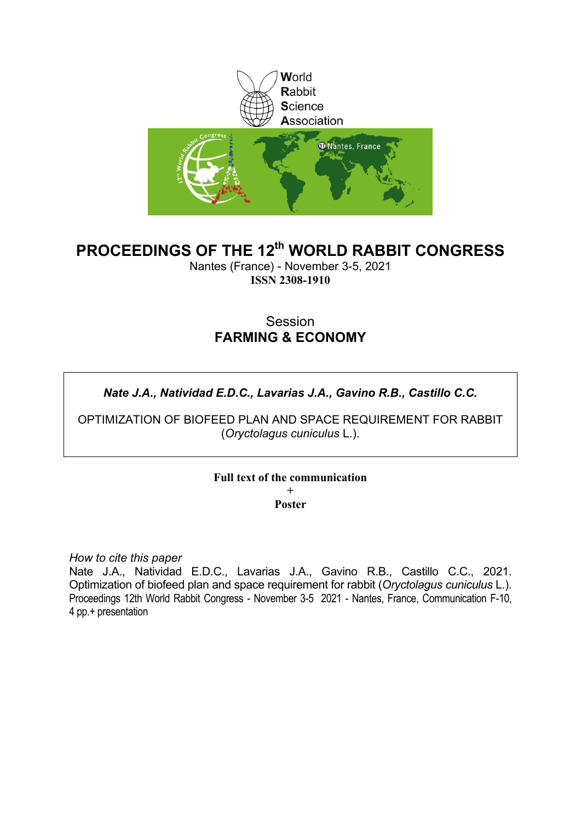

# **PROCEEDINGS OF THE 12th WORLD RABBIT CONGRESS**

Nantes (France) - November 3-5, 2021 **ISSN 2308-1910**

# Session **FARMING & ECONOMY**

# *Nate J.A., Natividad E.D.C., Lavarias J.A., Gavino R.B., Castillo C.C.*

OPTIMIZATION OF BIOFEED PLAN AND SPACE REQUIREMENT FOR RABBIT (*Oryctolagus cuniculus* L.).

> **Full text of the communication +**

> > **Poster**

*How to cite this paper*

Nate J.A., Natividad E.D.C., Lavarias J.A., Gavino R.B., Castillo C.C., 2021. Optimization of biofeed plan and space requirement for rabbit (*Oryctolagus cuniculus* L.). Proceedings 12th World Rabbit Congress - November 3-5 2021 - Nantes, France, Communication F-10, 4 pp.+ presentation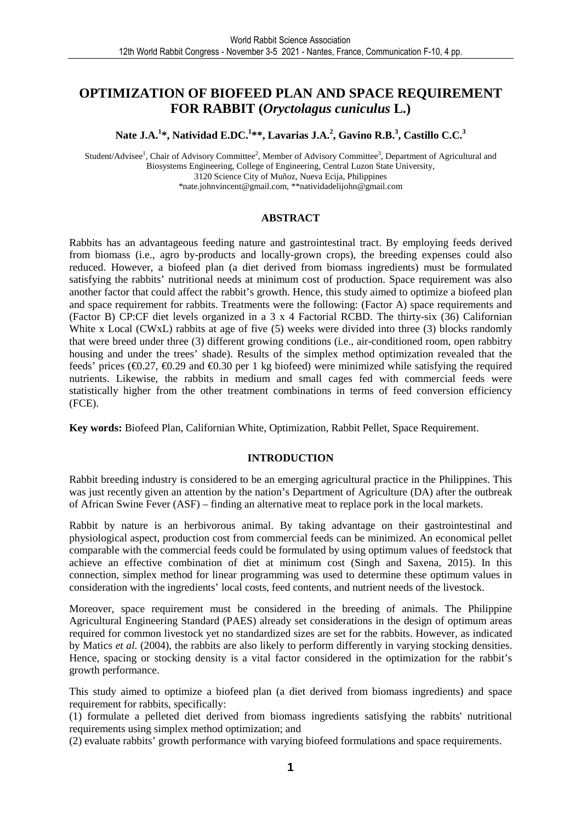## **OPTIMIZATION OF BIOFEED PLAN AND SPACE REQUIREMENT FOR RABBIT (***Oryctolagus cuniculus* **L.)**

**Nate J.A.<sup>1</sup> \*, Natividad E.DC.<sup>1</sup> \*\*, Lavarias J.A.<sup>2</sup> , Gavino R.B.<sup>3</sup> , Castillo C.C.<sup>3</sup>**

Student/Advisee<sup>1</sup>, Chair of Advisory Committee<sup>2</sup>, Member of Advisory Committee<sup>3</sup>, Department of Agricultural and Biosystems Engineering, College of Engineering, Central Luzon State University, 3120 Science City of Muñoz, Nueva Ecija, Philippines \*nate.johnvincent@gmail.com, \*\*natividadelijohn@gmail.com

#### **ABSTRACT**

Rabbits has an advantageous feeding nature and gastrointestinal tract. By employing feeds derived from biomass (i.e., agro by-products and locally-grown crops), the breeding expenses could also reduced. However, a biofeed plan (a diet derived from biomass ingredients) must be formulated satisfying the rabbits' nutritional needs at minimum cost of production. Space requirement was also another factor that could affect the rabbit's growth. Hence, this study aimed to optimize a biofeed plan and space requirement for rabbits. Treatments were the following: (Factor A) space requirements and (Factor B) CP:CF diet levels organized in a 3 x 4 Factorial RCBD. The thirty-six (36) Californian White x Local (CWxL) rabbits at age of five (5) weeks were divided into three (3) blocks randomly that were breed under three (3) different growing conditions (i.e., air-conditioned room, open rabbitry housing and under the trees' shade). Results of the simplex method optimization revealed that the feeds' prices ( $\epsilon$ 0.27,  $\epsilon$ 0.29 and  $\epsilon$ 0.30 per 1 kg biored) were minimized while satisfying the required nutrients. Likewise, the rabbits in medium and small cages fed with commercial feeds were statistically higher from the other treatment combinations in terms of feed conversion efficiency (FCE).

**Key words:** Biofeed Plan, Californian White, Optimization, Rabbit Pellet, Space Requirement.

#### **INTRODUCTION**

Rabbit breeding industry is considered to be an emerging agricultural practice in the Philippines. This was just recently given an attention by the nation's Department of Agriculture (DA) after the outbreak of African Swine Fever (ASF) – finding an alternative meat to replace pork in the local markets.

Rabbit by nature is an herbivorous animal. By taking advantage on their gastrointestinal and physiological aspect, production cost from commercial feeds can be minimized. An economical pellet comparable with the commercial feeds could be formulated by using optimum values of feedstock that achieve an effective combination of diet at minimum cost (Singh and Saxena, 2015). In this connection, simplex method for linear programming was used to determine these optimum values in consideration with the ingredients' local costs, feed contents, and nutrient needs of the livestock.

Moreover, space requirement must be considered in the breeding of animals. The Philippine Agricultural Engineering Standard (PAES) already set considerations in the design of optimum areas required for common livestock yet no standardized sizes are set for the rabbits. However, as indicated by Matics *et al.* (2004), the rabbits are also likely to perform differently in varying stocking densities. Hence, spacing or stocking density is a vital factor considered in the optimization for the rabbit's growth performance.

This study aimed to optimize a biofeed plan (a diet derived from biomass ingredients) and space requirement for rabbits, specifically:

(1) formulate a pelleted diet derived from biomass ingredients satisfying the rabbits' nutritional requirements using simplex method optimization; and

(2) evaluate rabbits' growth performance with varying biofeed formulations and space requirements.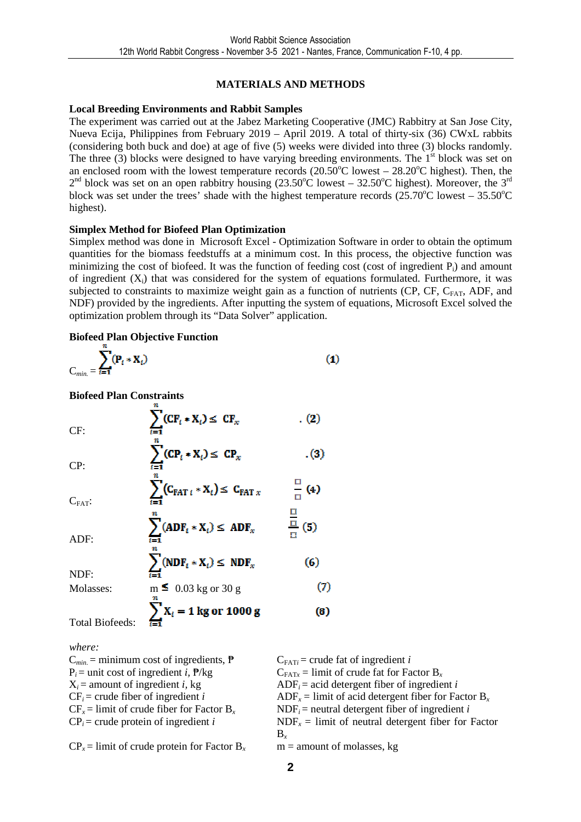## **MATERIALS AND METHODS**

#### **Local Breeding Environments and Rabbit Samples**

The experiment was carried out at the Jabez Marketing Cooperative (JMC) Rabbitry at San Jose City, Nueva Ecija, Philippines from February 2019 – April 2019. A total of thirty-six (36) CWxL rabbits (considering both buck and doe) at age of five (5) weeks were divided into three (3) blocks randomly. The three  $(3)$  blocks were designed to have varying breeding environments. The 1<sup>st</sup> block was set on an enclosed room with the lowest temperature records  $(20.50^{\circ}$ C lowest – 28.20<sup>o</sup>C highest). Then, the  $2<sup>nd</sup>$  block was set on an open rabbitry housing (23.50°C lowest – 32.50°C highest). Moreover, the 3<sup>rd</sup> block was set under the trees' shade with the highest temperature records  $(25.70^{\circ}$ C lowest – 35.50<sup>o</sup>C highest).

#### **Simplex Method for Biofeed Plan Optimization**

Simplex method was done in Microsoft Excel - Optimization Software in order to obtain the optimum quantities for the biomass feedstuffs at a minimum cost. In this process, the objective function was minimizing the cost of biofeed. It was the function of feeding cost (cost of ingredient  $P_i$ ) and amount of ingredient  $(X_i)$  that was considered for the system of equations formulated. Furthermore, it was subjected to constraints to maximize weight gain as a function of nutrients (CP, CF,  $C_{FAT}$ , ADF, and NDF) provided by the ingredients. After inputting the system of equations, Microsoft Excel solved the optimization problem through its "Data Solver" application.

### **Biofeed Plan Objective Function**

$$
C_{min.} = \sum_{i=1}^{N} (\mathbf{P}_i * \mathbf{X}_i)
$$
 (1)

**Biofeed Plan Constraints** 

| CF:                    | $\sum$ (CF <sub>t</sub> * X <sub>t</sub> ) $\leq$ CF <sub>x</sub> | . (2)                        |
|------------------------|-------------------------------------------------------------------|------------------------------|
| CP:                    | $\sum$ (CP <sub>i</sub> * X <sub>i</sub> ) $\leq$ CP <sub>x</sub> | . (3)                        |
| $C_{FAT}$ :            | $\sum (C_{\text{FAT }i} * X_i) \leq C_{\text{FAT }x}$             | $\frac{a}{a}$ (4)            |
| ADF:                   | $\sum (ADE_i * X_i) \leq ADF_x$                                   | $\frac{\overline{0}}{0}$ (5) |
| NDF:                   | $\sum (NDF_i * X_i) \leq NDF_x$                                   | (6)                          |
| Molasses:              | $m \leq 0.03$ kg or 30 g                                          | (7)                          |
| <b>Total Biofeeds:</b> | $\sum X_i = 1$ kg or 1000 g                                       | (6)                          |

*where:* 

 $C_{min}$  = minimum cost of ingredients,  $\mathbf{P}$   $C_{FAT*i*}$  = crude fat of ingredient *i*  $P_i$  = unit cost of ingredient *i*,  $\frac{R}{g}$   $C_{FATx}$  = limit of crude fat for Factor B<sub>x</sub>

 $X_i$  = amount of ingredient *i*, kg ADF<sub>*i*</sub> = acid detergent fiber of ingredient *i*  $CF_i$  = crude fiber of ingredient *i*  $ADF_x$  = limit of acid detergent fiber for Factor B<sub>x</sub>  $CF_r =$  limit of crude fiber for Factor B<sub>r</sub> NDF<sub>*i*</sub> = neutral detergent fiber of ingredient *i*  $CP_i$  = crude protein of ingredient *i* NDF<sub>*x*</sub> = limit of neutral detergent fiber for Factor B*<sup>x</sup>*

 $CP<sub>x</sub> =$  limit of crude protein for Factor B<sub>x</sub> m = amount of molasses, kg

**2**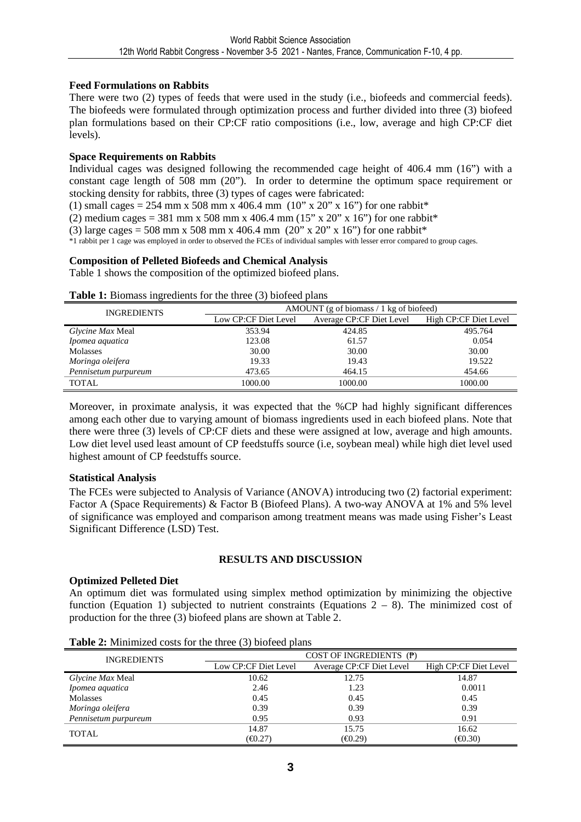#### **Feed Formulations on Rabbits**

There were two (2) types of feeds that were used in the study (i.e., biofeeds and commercial feeds). The biofeeds were formulated through optimization process and further divided into three (3) biofeed plan formulations based on their CP:CF ratio compositions (i.e., low, average and high CP:CF diet levels).

#### **Space Requirements on Rabbits**

Individual cages was designed following the recommended cage height of 406.4 mm (16") with a constant cage length of 508 mm (20"). In order to determine the optimum space requirement or stocking density for rabbits, three (3) types of cages were fabricated:

(1) small cages = 254 mm x 508 mm x 406.4 mm (10" x 20" x 16") for one rabbit\*

(2) medium cages = 381 mm x 508 mm x 406.4 mm (15" x 20" x 16") for one rabbit\*

(3) large cages = 508 mm x 508 mm x 406.4 mm  $(20'' \times 20'' \times 16'')$  for one rabbit\*

\*1 rabbit per 1 cage was employed in order to observed the FCEs of individual samples with lesser error compared to group cages.

#### **Composition of Pelleted Biofeeds and Chemical Analysis**

Table 1 shows the composition of the optimized biofeed plans.

#### **Table 1:** Biomass ingredients for the three (3) biofeed plans

| <b>INGREDIENTS</b>   | AMOUNT (g of biomass $/1$ kg of biofeed) |                          |                       |  |
|----------------------|------------------------------------------|--------------------------|-----------------------|--|
|                      | Low CP:CF Diet Level                     | Average CP:CF Diet Level | High CP:CF Diet Level |  |
| Glycine Max Meal     | 353.94                                   | 424.85                   | 495.764               |  |
| Ipomea aquatica      | 123.08                                   | 61.57                    | 0.054                 |  |
| Molasses             | 30.00                                    | 30.00                    | 30.00                 |  |
| Moringa oleifera     | 19.33                                    | 19.43                    | 19.522                |  |
| Pennisetum purpureum | 473.65                                   | 464.15                   | 454.66                |  |
| <b>TOTAL</b>         | 1000.00                                  | 1000.00                  | 1000.00               |  |

Moreover, in proximate analysis, it was expected that the %CP had highly significant differences among each other due to varying amount of biomass ingredients used in each biofeed plans. Note that there were three (3) levels of CP:CF diets and these were assigned at low, average and high amounts. Low diet level used least amount of CP feedstuffs source (i.e, soybean meal) while high diet level used highest amount of CP feedstuffs source.

#### **Statistical Analysis**

The FCEs were subjected to Analysis of Variance (ANOVA) introducing two (2) factorial experiment: Factor A (Space Requirements) & Factor B (Biofeed Plans). A two-way ANOVA at 1% and 5% level of significance was employed and comparison among treatment means was made using Fisher's Least Significant Difference (LSD) Test.

#### **RESULTS AND DISCUSSION**

#### **Optimized Pelleted Diet**

An optimum diet was formulated using simplex method optimization by minimizing the objective function (Equation 1) subjected to nutrient constraints (Equations  $2 - 8$ ). The minimized cost of production for the three (3) biofeed plans are shown at Table 2.

| <b>INGREDIENTS</b>   |                                                  | COST OF INGREDIENTS $(P)$ |                              |
|----------------------|--------------------------------------------------|---------------------------|------------------------------|
|                      | Average CP:CF Diet Level<br>Low CP:CF Diet Level |                           | High CP:CF Diet Level        |
| Glycine Max Meal     | 10.62                                            | 12.75                     | 14.87                        |
| Ipomea aquatica      | 2.46                                             | 1.23                      | 0.0011                       |
| Molasses             | 0.45                                             | 0.45                      | 0.45                         |
| Moringa oleifera     | 0.39                                             | 0.39                      | 0.39                         |
| Pennisetum purpureum | 0.95                                             | 0.93                      | 0.91                         |
| TOTAL                | 14.87                                            | 15.75                     | 16.62                        |
|                      | (E0.27)                                          | (E0.29)                   | $(\text{\textsterling}0.30)$ |

**Table 2:** Minimized costs for the three (3) biofeed plans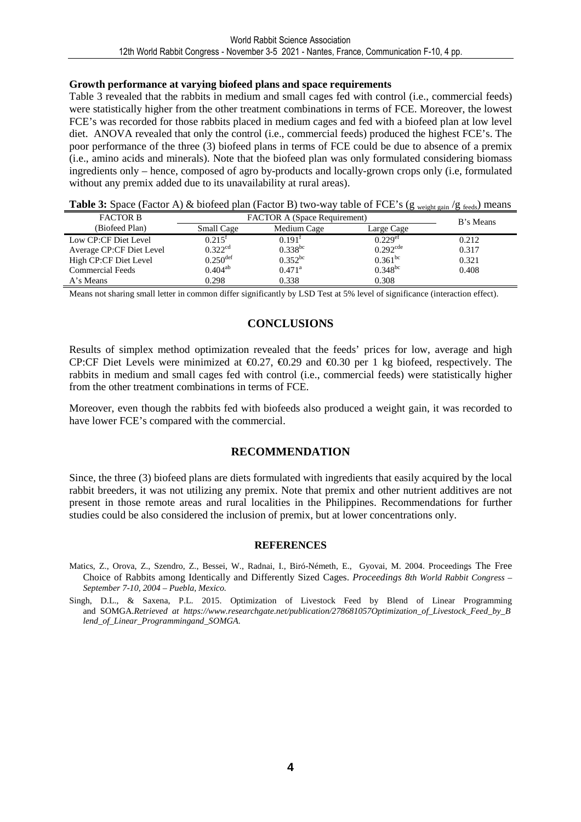#### **Growth performance at varying biofeed plans and space requirements**

Table 3 revealed that the rabbits in medium and small cages fed with control (i.e., commercial feeds) were statistically higher from the other treatment combinations in terms of FCE. Moreover, the lowest FCE's was recorded for those rabbits placed in medium cages and fed with a biofeed plan at low level diet. ANOVA revealed that only the control (i.e., commercial feeds) produced the highest FCE's. The poor performance of the three (3) biofeed plans in terms of FCE could be due to absence of a premix (i.e., amino acids and minerals). Note that the biofeed plan was only formulated considering biomass ingredients only – hence, composed of agro by-products and locally-grown crops only (i.e, formulated without any premix added due to its unavailability at rural areas).

**Table 3:** Space (Factor A) & biofeed plan (Factor B) two-way table of FCE's (g weight gain /g feeds) means

| <b>FACTOR B</b>          | <b>FACTOR A (Space Requirement)</b> |                    |                        | B's Means |
|--------------------------|-------------------------------------|--------------------|------------------------|-----------|
| (Biofeed Plan)           | Small Cage                          | Medium Cage        | Large Cage             |           |
| Low CP:CF Diet Level     | $0.215$ <sup>t</sup>                | 0.191 <sup>t</sup> | $0.229$ <sup>ef</sup>  | 0.212     |
| Average CP:CF Diet Level | $0.322^{cd}$                        | $0.338^{bc}$       | $0.292$ <sup>cde</sup> | 0.317     |
| High CP:CF Diet Level    | $0.250$ <sup>def</sup>              | $0.352^{bc}$       | $0.361^{bc}$           | 0.321     |
| <b>Commercial Feeds</b>  | $0.404^{ab}$                        | $0.471^{\rm a}$    | $0.348^{bc}$           | 0.408     |
| A's Means                | 0.298                               | 0.338              | 0.308                  |           |

Means not sharing small letter in common differ significantly by LSD Test at 5% level of significance (interaction effect).

### **CONCLUSIONS**

Results of simplex method optimization revealed that the feeds' prices for low, average and high CP:CF Diet Levels were minimized at  $\epsilon$ 0.27,  $\epsilon$ 0.29 and  $\epsilon$ 0.30 per 1 kg biofeed, respectively. The rabbits in medium and small cages fed with control (i.e., commercial feeds) were statistically higher from the other treatment combinations in terms of FCE.

Moreover, even though the rabbits fed with biofeeds also produced a weight gain, it was recorded to have lower FCE's compared with the commercial.

#### **RECOMMENDATION**

Since, the three (3) biofeed plans are diets formulated with ingredients that easily acquired by the local rabbit breeders, it was not utilizing any premix. Note that premix and other nutrient additives are not present in those remote areas and rural localities in the Philippines. Recommendations for further studies could be also considered the inclusion of premix, but at lower concentrations only.

#### **REFERENCES**

- Matics, Z., Orova, Z., Szendro, Z., Bessei, W., Radnai, I., Biró-Németh, E., Gyovai, M. 2004. Proceedings The Free Choice of Rabbits among Identically and Differently Sized Cages. *Proceedings 8th World Rabbit Congress – September 7-10, 2004 – Puebla, Mexico.*
- Singh, D.L., & Saxena, P.L. 2015. Optimization of Livestock Feed by Blend of Linear Programming and.SOMGA.*Retrieved.at.https://www.researchgate.net/publication/278681057Optimization\_of\_Livestock\_Feed\_by\_B lend\_of\_Linear\_Programmingand\_SOMGA.*